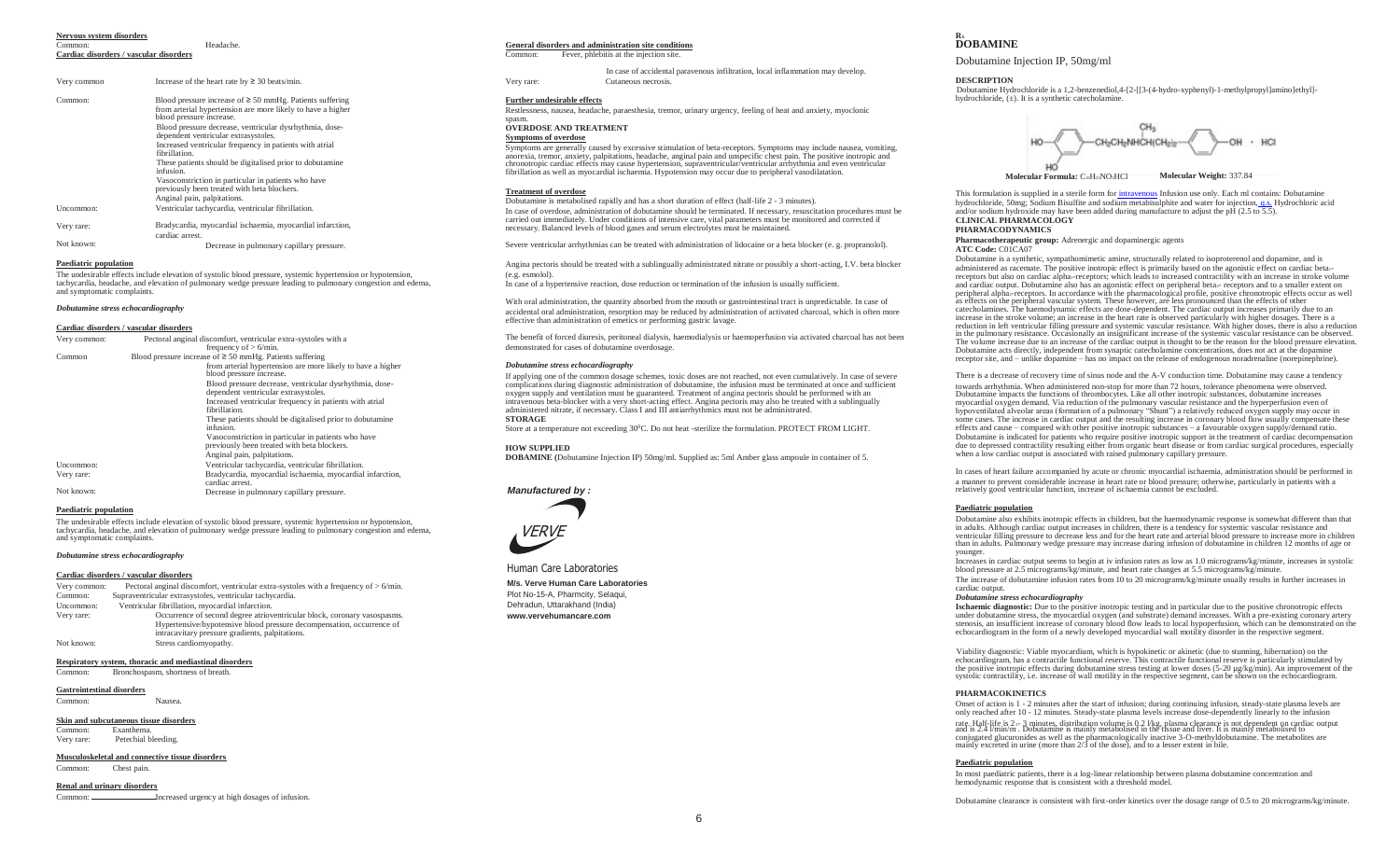# **Nervous system disorders**

Common: **Cardiac disorders / vascular disorders**

| Very common | Increase of the heart rate by $\geq 30$ beats/min.                                                                                                       |
|-------------|----------------------------------------------------------------------------------------------------------------------------------------------------------|
| Common:     | Blood pressure increase of $\geq$ 50 mmHg. Patients suffering<br>from arterial hypertension are more likely to have a higher<br>blood pressure increase. |
|             | Blood pressure decrease, ventricular dysrhythmia, dose-<br>dependent ventricular extrasystoles.                                                          |
|             | Increased ventricular frequency in patients with atrial<br>fibrillation.                                                                                 |
|             | These patients should be digitalised prior to dobutamine<br>infusion.                                                                                    |
|             | Vasoconstriction in particular in patients who have<br>previously been treated with beta blockers.                                                       |
|             | Anginal pain, palpitations.                                                                                                                              |
| Uncommon:   | Ventricular tachycardia, ventricular fibrillation.                                                                                                       |
| Very rare:  | Bradycardia, myocardial ischaemia, myocardial infarction,<br>cardiac arrest.                                                                             |
| Not known:  | Decrease in pulmonary capillary pressure                                                                                                                 |

**Paediatric population**

The undesirable effects include elevation of systolic blood pressure, systemic hypertension or hypotension, tachycardia, headache, and elevation of pulmonary wedge pressure leading to pulmonary congestion and edema, and symptomatic complaints.

#### *Dobutamine stress echocardiography*

#### **Cardiac disorders / vascular disorders**

| Very common: | Pectoral anginal discomfort, ventricular extra-systoles with a<br>frequency of $> 6$ /min.                                                               |  |  |
|--------------|----------------------------------------------------------------------------------------------------------------------------------------------------------|--|--|
| Common       | Blood pressure increase of $\geq$ 50 mmHg. Patients suffering<br>from arterial hypertension are more likely to have a higher<br>blood pressure increase. |  |  |
|              | Blood pressure decrease, ventricular dysrhythmia, dose-<br>dependent ventricular extrasystoles.                                                          |  |  |
|              | Increased ventricular frequency in patients with atrial<br>fibrillation.                                                                                 |  |  |
|              | These patients should be digitalised prior to dobutamine<br>infusion.                                                                                    |  |  |
|              | Vasoconstriction in particular in patients who have<br>previously been treated with beta blockers.                                                       |  |  |
|              | Anginal pain, palpitations.                                                                                                                              |  |  |
| Uncommon:    | Ventricular tachycardia, ventricular fibrillation.                                                                                                       |  |  |
| Very rare:   | Bradycardia, myocardial ischaemia, myocardial infarction,<br>cardiac arrest.                                                                             |  |  |
| Not known:   | Decrease in pulmonary capillary pressure.                                                                                                                |  |  |

#### **Paediatric population**

The undesirable effects include elevation of systolic blood pressure, systemic hypertension or hypotension, tachycardia, headache, and elevation of pulmonary wedge pressure leading to pulmonary congestion and edema, and symptomatic complaints.

#### *Dobutamine stress echocardiography*

#### **Cardiac disorders / vascular disorders**

Very common: Pectoral anginal discomfort, ventricular extra-systoles with a frequency of > 6/min. Common: Supraventricular extrasystoles, ventricular tachycardia. Ventricular fibrillation, myocardial infarction. Very rare: Not known: Occurrence of second degree atrioventricular block, coronary vasospasms. Hypertensive/hypotensive blood pressure decompensation, occurrence of intracavitary pressure gradients, palpitations. Stress cardiomyopathy.

#### **Respiratory system, thoracic and mediastinal disorders**

Common: Bronchospasm, shortness of breath.

#### **Gastrointestinal disorders**

Common: Nausea.

#### **Skin and subcutaneous tissue disorders**

Common: Exanthema.<br>Very rare: Petechial b Petechial bleeding

# **Musculoskeletal and connective tissue disorders**

Common: Chest pain.

#### **Renal and urinary disorders**

Common: **Increased urgency at high dosages of infusion** 

#### Headache. **General disorders and administration site conditions**

Common: Fever, phlebitis at the injection site.

|             |                                                    |            | In case of accidental paravenous infiltration, local inflammation may develop. |                    |
|-------------|----------------------------------------------------|------------|--------------------------------------------------------------------------------|--------------------|
| Very common | Increase of the heart rate by $\geq$ 30 beats/min. | Verv rare: | Cutaneous necrosis.                                                            | <b>DESCRIPTION</b> |
|             |                                                    |            |                                                                                | $  -$              |

# **Further undesirable effects**

Restlessness, nausea, headache, paraesthesia, tremor, urinary urgency, feeling of heat and anxiety, myoclonic spasm.

# **OVERDOSE AND TREATMENT**

# **Symptoms of overdose**

Symptoms are generally caused by excessive stimulation of beta-receptors. Symptoms may include nausea, vomiting, anorexia, tremor, anxiety, palpitations, headache, anginal pain and unspecific chest pain. The positive inotropic and<br>chronotropic cardiac effects may cause hypertension, supraventricular/ventricular arrhythmia and even ve fibrillation as well as myocardial ischaemia. Hypotension may occur due to peripheral vasodilatation. **Molecular Formula:** C<sub>n</sub>H<sub>2</sub>NO<sub>3</sub>HCl **Molecular Weight:** 337.84

# **Treatment of overdose**

Dobutamine is metabolised rapidly and has a short duration of effect (half-life 2 - 3 minutes). In case of overdose, administration of dobutamine should be terminated. If necessary, resuscitation procedures must be carried out immediately. Under conditions of intensive care, vital parameters must be monitored and corrected if necessary. Balanced levels of blood gases and serum electrolytes must be maintained.

Severe ventricular arrhythmias can be treated with administration of lidocaine or a beta blocker (e. g. propranolol).

Angina pectoris should be treated with a sublingually administrated nitrate or possibly a short-acting, I.V. beta blocker (e.g. esmolol).

In case of a hypertensive reaction, dose reduction or termination of the infusion is usually sufficient.

With oral administration, the quantity absorbed from the mouth or gastrointestinal tract is unpredictable. In case of accidental oral administration, resorption may be reduced by administration of activated charcoal, which is often more effective than administration of emetics or performing gastric lavage.

The benefit of forced diuresis, peritoneal dialysis, haemodialysis or haemoperfusion via activated charcoal has not been demonstrated for cases of dobutamine overdosage.

#### *Dobutamine stress echocardiography*

If applying one of the common dosage schemes, toxic doses are not reached, not even cumulatively. In case of severe complications during diagnostic administration of dobutamine, the infusion must be terminated at once and sufficient oxygen supply and ventilation must be guaranteed. Treatment of angina pectoris should be performed with an intravenous beta-blocker with a very short-acting effect. Angina pectoris may also be treated with a sublingually administered nitrate, if necessary. Class I and III antiarrhythmics must not be administrated. **STORAGE**

Store at a temperature not exceeding 30<sup>0</sup>C. Do not heat -sterilize the formulation. PROTECT FROM LIGHT.

#### **HOW SUPPLIED**

**DOBAMINE (**Dobutamine Injection IP) 50mg/ml. Supplied as: 5ml Amber glass ampoule in container of 5.





# **M/s. Verve Human Care Laboratories** Plot No-15-A, Pharmcity, Selaqui, Dehradun, Uttarakhand (India)<br>www.vervehumancare.com

# **R<sup>X</sup> DOBAMINE**

Dobutamine Injection IP, 50mg/ml

Dobutamine Hydrochloride is a 1,2-benzenediol,4-[2-[[3-(4-hydro-xyphenyl)-1-methylpropyl]amino]ethyl] hydrochloride,  $(\pm)$ . It is a synthetic catecholamine.



This formulation is supplied in a sterile form for intravenous Infusion use only. Each ml contains: Dobutamine hydrochloride, 50mg; Sodium Bisulfite and sodium metabisulphite and water for injection, q.s. Hydrochloric acid<br>and/or sodium hydroxide may have been added during manufacture to adjust the pH (2.5 to 5.5).

# **CLINICAL PHARMACOLOGY**

**PHARMACODYNAMICS Pharmacotherapeutic group:** Adrenergic and dopaminergic agents

**ATC Code:** C01CA07

Dobutamine is a synthetic, sympathomimetic amine, structurally related to isoproterenol and dopamine, and is administered as racemate. The positive inotropic effect is primarily based on the agonistic effect on cardiac betaireceptors but also on cardiac alpha<sub>1</sub>-receptors; which leads to increased contractility with an increase in stroke volume and cardiac output. Dobutamine also has an agonistic effect on peripheral beta:- receptors and to a smaller extent on<br>peripheral alpha:-receptors. In accordance with the pharmacological profile, positive chronotropic effec catecholamines. The haemodynamic effects are dose-dependent. The cardiac output increases primarily due to an increase in the stroke volume; an increase in the heart rate is observed particularly with higher dosages. There is a reduction in left ventricular filling pressure and systemic vascular resistance. With higher doses, there is also a reduction in the pulmonary resistance. Occasionally an insignificant increase of the systemic vascular resistance can be observed. The volume increase due to an increase of the cardiac output is thought to be the reason for the blood pressure elevation. Dobutamine acts directly, independent from synaptic catecholamine concentrations, does not act at the dopamine receptor site, and – unlike dopamine – has no impact on the release of endogenous noradrenaline (norepinephrine).

There is a decrease of recovery time of sinus node and the A-V conduction time. Dobutamine may cause a tendency towards arrhythmia. When administered non-stop for more than 72 hours, tolerance phenomena were observed. Dobutamine impacts the functions of thrombocytes. Like all other inotropic substances, dobutamine increases myocardial oxygen demand. Via reduction of the pulmonary vascular resistance and the hyperperfusion even of hypoventilated alveolar areas (formation of a pulmonary "Shunt") a relatively reduced oxygen supply may occur in some cases. The increase in cardiac output and the resulting increase in coronary blood flow usually compensate these effects and cause – compared with other positive inotropic substances – a favourable oxygen supply/demand ratio. Dobutamine is indicated for patients who require positive inotropic support in the treatment of cardiac decompensation due to depressed contractility resulting either from organic heart disease or from cardiac surgical procedures, especially when a low cardiac output is associated with raised pulmonary capillary pressure.

In cases of heart failure accompanied by acute or chronic myocardial ischaemia, administration should be performed in a manner to prevent considerable increase in heart rate or blood pressure; otherwise, particularly in patients with a relatively good ventricular function, increase of ischaemia cannot be excluded.

#### **Paediatric population**

Dobutamine also exhibits inotropic effects in children, but the haemodynamic response is somewhat different than that in adults. Although cardiac output increases in children, there is a tendency for systemic vascular resistance and ventricular filling pressure to decrease less and for the heart rate and arterial blood pressure to increase more in children than in adults. Pulmonary wedge pressure may increase during infusion of dobutamine in children 12 months of age or younger.

Increases in cardiac output seems to begin at iv infusion rates as low as 1.0 micrograms/ $k\varrho/m$ inute, increases in systolic blood pressure at 2.5 micrograms/kg/minute, and heart rate changes at 5.5 micrograms/kg/minute

The increase of dobutamine infusion rates from 10 to 20 micrograms/kg/minute usually results in further increases in cardiac output.

#### *Dobutamine stress echocardiography*

Dehradun, Uttarakhand (India)<br> **Exchaemic diagnostic:** Due to the positive inotropic esting and in particular due to the positive chronotropic effects<br>
under diagnostic, an insufficient increase of coronary blood flow lead echocardiogram in the form of a newly developed myocardial wall motility disorder in the respective segment.

> Viability diagnostic: Viable myocardium, which is hypokinetic or akinetic (due to stunning, hibernation) on the echocardiogram, has a contractile functional reserve. This contractile functional reserve is particularly stimulated by the positive inotropic effects during dobutamine stress testing at lower doses (5-20 µg/kg/min). An improvement of the systolic contractility, i.e. increase of wall motility in the respective segment, can be shown on the echocardiogram.

#### **PHARMACOKINETICS**

Onset of action is 1 - 2 minutes after the start of infusion; during continuing infusion, steady-state plasma levels are only reached after 10 - 12 minutes. Steady-state plasma levels increase dose-dependently linearly to the infusion rate. Half-life is  $2 \div 3$  minutes, distribution volume is 0.2 l/kg, plasma clearance is not dependent on cardiac output<br>and is 2.4 //min/m. Dobutamine is mainly metabolised in the tissue and liver. It is mainly metabolis

# **Paediatric population**

In most paediatric patients, there is a log-linear relationship between plasma dobutamine concentration and hemodynamic response that is consistent with a threshold model.

Dobutamine clearance is consistent with first-order kinetics over the dosage range of 0.5 to 20 micrograms/kg/minute.